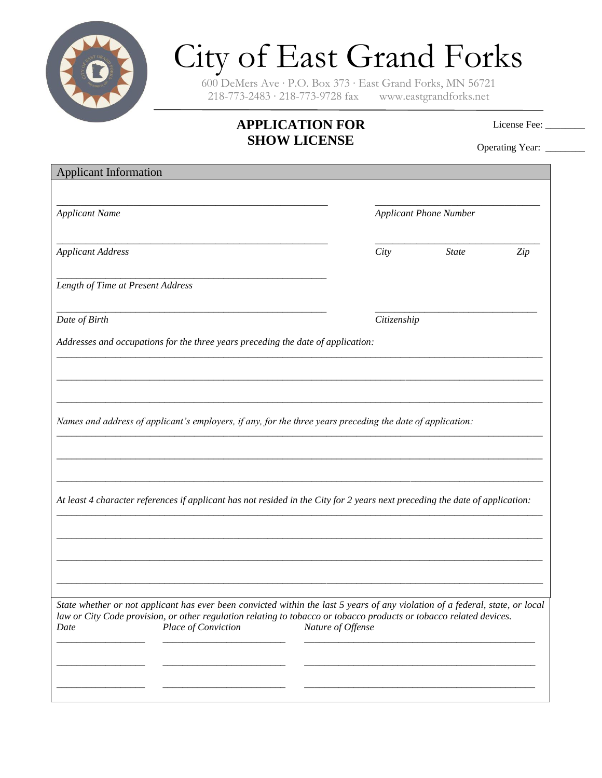

## City of East Grand Forks

600 DeMers Ave ∙ P.O. Box 373 ∙ East Grand Forks, MN 56721 218-773-2483 ∙ 218-773-9728 fax www.eastgrandforks.net

## **APPLICATION FOR SHOW LICENSE**

License Fee: \_\_\_\_\_\_\_

Operating Year: \_\_\_\_\_\_\_

| <b>Applicant Information</b>                                                                                                                                                                                                                                                        |                   |                               |     |  |
|-------------------------------------------------------------------------------------------------------------------------------------------------------------------------------------------------------------------------------------------------------------------------------------|-------------------|-------------------------------|-----|--|
| <b>Applicant Name</b>                                                                                                                                                                                                                                                               |                   | <b>Applicant Phone Number</b> |     |  |
| <b>Applicant Address</b>                                                                                                                                                                                                                                                            | City              | <b>State</b>                  | Zip |  |
| Length of Time at Present Address                                                                                                                                                                                                                                                   |                   |                               |     |  |
| Date of Birth                                                                                                                                                                                                                                                                       |                   | Citizenship                   |     |  |
| Addresses and occupations for the three years preceding the date of application:                                                                                                                                                                                                    |                   |                               |     |  |
|                                                                                                                                                                                                                                                                                     |                   |                               |     |  |
| Names and address of applicant's employers, if any, for the three years preceding the date of application:                                                                                                                                                                          |                   |                               |     |  |
| At least 4 character references if applicant has not resided in the City for 2 years next preceding the date of application:                                                                                                                                                        |                   |                               |     |  |
|                                                                                                                                                                                                                                                                                     |                   |                               |     |  |
|                                                                                                                                                                                                                                                                                     |                   |                               |     |  |
| State whether or not applicant has ever been convicted within the last 5 years of any violation of a federal, state, or local<br>law or City Code provision, or other regulation relating to tobacco or tobacco products or tobacco related devices.<br>Place of Conviction<br>Date | Nature of Offense |                               |     |  |
|                                                                                                                                                                                                                                                                                     |                   |                               |     |  |
|                                                                                                                                                                                                                                                                                     |                   |                               |     |  |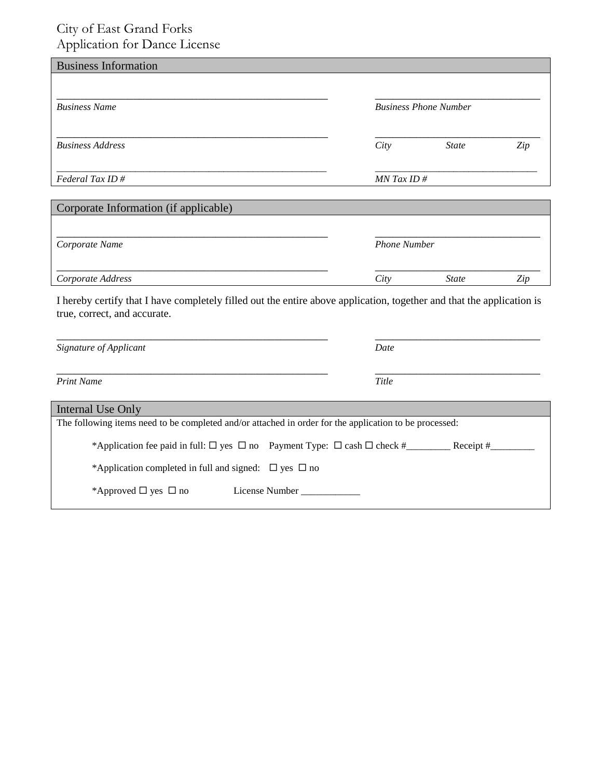## City of East Grand Forks Application for Dance License

| <b>Business Information</b>           |      |                              |     |  |
|---------------------------------------|------|------------------------------|-----|--|
| <b>Business Name</b>                  |      | <b>Business Phone Number</b> |     |  |
| <b>Business Address</b>               | City | <b>State</b>                 | Zip |  |
| Federal Tax ID#                       |      | $MN$ Tax ID #                |     |  |
| Corporate Information (if applicable) |      |                              |     |  |
| Corporate Name                        |      | <b>Phone Number</b>          |     |  |
| Corporate Address                     | City | <b>State</b>                 | Zip |  |

I hereby certify that I have completely filled out the entire above application, together and that the application is true, correct, and accurate.

| Signature of Applicant                                                                                 | Date                                                                                                      |
|--------------------------------------------------------------------------------------------------------|-----------------------------------------------------------------------------------------------------------|
| <b>Print Name</b>                                                                                      | Title                                                                                                     |
| Internal Use Only                                                                                      |                                                                                                           |
| The following items need to be completed and/or attached in order for the application to be processed: |                                                                                                           |
|                                                                                                        | *Application fee paid in full: $\Box$ yes $\Box$ no Payment Type: $\Box$ cash $\Box$ check #<br>Receipt # |
| *Application completed in full and signed: $\Box$ yes $\Box$ no                                        |                                                                                                           |
| *Approved $\Box$ yes $\Box$ no<br>License Number                                                       |                                                                                                           |